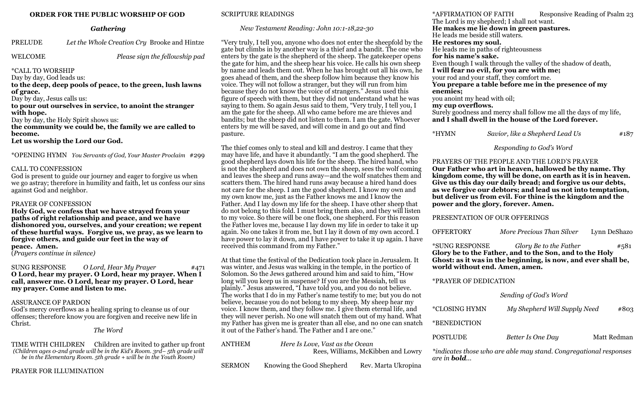#### **ORDER FOR THE PUBLIC WORSHIP OF GOD**

#### *Gathering*

PRELUDE *Let the Whole Creation Cry* Brooke and Hintze

WELCOME *Please sign the fellowship pad* 

\*CALL TO WORSHIP

Day by day, God leads us: **to the deep, deep pools of peace, to the green, lush lawns of grace.**

Day by day, Jesus calls us:

**to pour out ourselves in service, to anoint the stranger with hope.**

Day by day, the Holy Spirit shows us:

**the community we could be, the family we are called to become.**

**Let us worship the Lord our God.**

\*OPENING HYMN *You Servants of God, Your Master Proclaim* #299

#### CALL TO CONFESSION

God is present to guide our journey and eager to forgive us when we go astray; therefore in humility and faith, let us confess our sins against God and neighbor.

#### PRAYER OF CONFESSION

TIME WITH CHILDREN Children are invited to gather up fron *(Children ages 0-2nd grade will be in the Kid's Room. 3rd– 5th grade will be in the Elementary Room. 5th grade + will be in the Youth Room)* 

**Holy God, we confess that we have strayed from your paths of right relationship and peace, and we have dishonored you, ourselves, and your creation; we repent of these hurtful ways. Forgive us, we pray, as we learn to forgive others, and guide our feet in the way of peace. Amen.** 

(*Prayers continue in silence)*

SUNG RESPONSE *O Lord, Hear My Prayer* #471 **O Lord, hear my prayer. O Lord, hear my prayer. When I call, answer me. O Lord, hear my prayer. O Lord, hear my prayer. Come and listen to me.** 

#### ASSURANCE OF PARDON

God's mercy overflows as a healing spring to cleanse us of our offenses; therefore know you are forgiven and receive new life in Christ.

### *The Word*

PRAYER FOR ILLUMINATION

# SCRIPTURE READINGS

*New Testament Reading: John 10:1-18,22-30*

"Very truly, I tell you, anyone who does not enter the sheepfold by the gate but climbs in by another way is a thief and a bandit. The one who enters by the gate is the shepherd of the sheep. The gatekeeper opens the gate for him, and the sheep hear his voice. He calls his own sheep by name and leads them out. When he has brought out all his own, he goes ahead of them, and the sheep follow him because they know his voice. They will not follow a stranger, but they will run from him because they do not know the voice of strangers." Jesus used this figure of speech with them, but they did not understand what he was saying to them. So again Jesus said to them, "Very truly, I tell you, I am the gate for the sheep. All who came before me are thieves and bandits; but the sheep did not listen to them. I am the gate. Whoever enters by me will be saved, and will come in and go out and find pasture.

The thief comes only to steal and kill and destroy. I came that they may have life, and have it abundantly. "I am the good shepherd. The good shepherd lays down his life for the sheep. The hired hand, who is not the shepherd and does not own the sheep, sees the wolf coming and leaves the sheep and runs away—and the wolf snatches them and scatters them. The hired hand runs away because a hired hand does not care for the sheep. I am the good shepherd. I know my own and my own know me, just as the Father knows me and I know the Father. And I lay down my life for the sheep. I have other sheep that do not belong to this fold. I must bring them also, and they will listen to my voice. So there will be one flock, one shepherd. For this reason the Father loves me, because I lay down my life in order to take it up again. No one takes it from me, but I lay it down of my own accord. I have power to lay it down, and I have power to take it up again. I have received this command from my Father."

At that time the festival of the Dedication took place in Jerusalem. It was winter, and Jesus was walking in the temple, in the portico of Solomon. So the Jews gathered around him and said to him, "How long will you keep us in suspense? If you are the Messiah, tell us plainly." Jesus answered, "I have told you, and you do not believe. The works that I do in my Father's name testify to me; but you do not believe, because you do not belong to my sheep. My sheep hear my voice. I know them, and they follow me. I give them eternal life, and they will never perish. No one will snatch them out of my hand. What my Father has given me is greater than all else, and no one can snatch it out of the Father's hand. The Father and I are one."

\*AFFIRMATION OF FAITH Responsive Reading of Psalm 23 The Lord is my shepherd; I shall not want. **He makes me lie down in green pastures.** He leads me beside still waters. **He restores my soul.** He leads me in paths of righteousness **for his name's sake.** Even though I walk through the valley of the shadow of death, **I will fear no evil, for you are with me;** your rod and your staff, they comfort me. **You prepare a table before me in the presence of my enemies;** you anoint my head with oil; **my cup overflows.** Surely goodness and mercy shall follow me all the days of my life, **and I shall dwell in the house of the Lord forever.** 

\*HYMN *Savior, like a Shepherd Lead Us* #187

*Responding to God's Word*

| <b>ANTHEM</b> | Here Is Love, Vast as the Ocean    |                     |                                      |
|---------------|------------------------------------|---------------------|--------------------------------------|
|               | Rees, Williams, McKibben and Lowry |                     | *indicates the<br>are in <b>bold</b> |
| <b>SERMON</b> | Knowing the Good Shepherd          | Rev. Marta Ukropina |                                      |

PRAYERS OF THE PEOPLE AND THE LORD'S PRAYER **Our Father who art in heaven, hallowed be thy name. Thy kingdom come, thy will be done, on earth as it is in heaven. Give us this day our daily bread; and forgive us our debts, as we forgive our debtors; and lead us not into temptation, but deliver us from evil. For thine is the kingdom and the power and the glory, forever. Amen.**

PRESENTATION OF OUR OFFERINGS

OFFERTORY *More Precious Than Silver* Lynn DeShazo

\*SUNG RESPONSE *Glory Be to the Father* #581 **Glory be to the Father, and to the Son, and to the Holy Ghost: as it was in the beginning, is now, and ever shall be, world without end. Amen, amen.**

# \*PRAYER OF DEDICATION

*Sending of God's Word*

# \*CLOSING HYMN *My Shepherd Will Supply Need* #803

**POSTLUDE** *Better Is One Day* Matt Redman

\*BENEDICTION

*\*indicates those who are able may stand. Congregational responses*